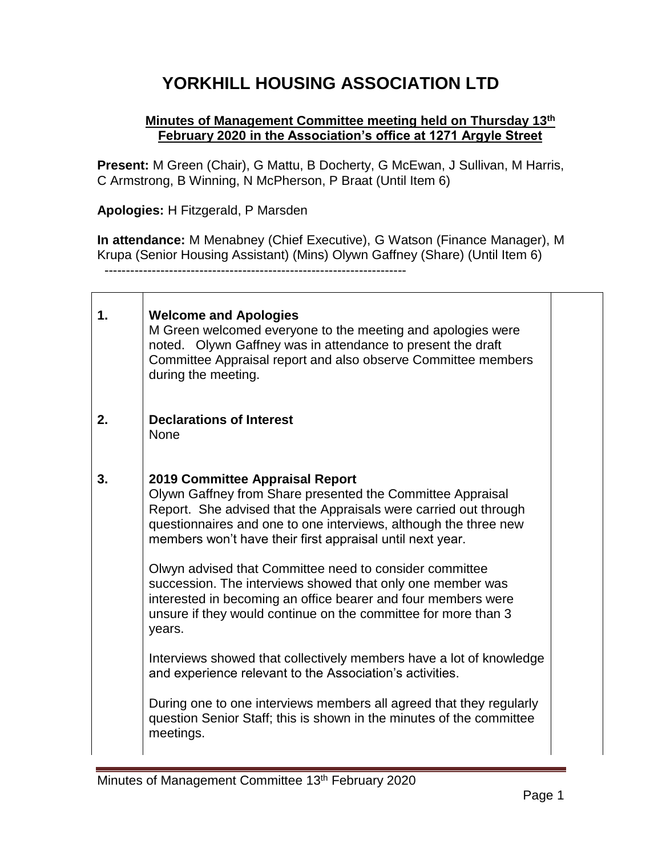## **YORKHILL HOUSING ASSOCIATION LTD**

## **Minutes of Management Committee meeting held on Thursday 13 th February 2020 in the Association's office at 1271 Argyle Street**

**Present:** M Green (Chair), G Mattu, B Docherty, G McEwan, J Sullivan, M Harris, C Armstrong, B Winning, N McPherson, P Braat (Until Item 6)

**Apologies:** H Fitzgerald, P Marsden

**In attendance:** M Menabney (Chief Executive), G Watson (Finance Manager), M Krupa (Senior Housing Assistant) (Mins) Olywn Gaffney (Share) (Until Item 6) ----------------------------------------------------------------------

**1. 2. 3. Welcome and Apologies**  M Green welcomed everyone to the meeting and apologies were noted. Olywn Gaffney was in attendance to present the draft Committee Appraisal report and also observe Committee members during the meeting. **Declarations of Interest**  None **2019 Committee Appraisal Report**  Olywn Gaffney from Share presented the Committee Appraisal Report. She advised that the Appraisals were carried out through questionnaires and one to one interviews, although the three new members won't have their first appraisal until next year. Olwyn advised that Committee need to consider committee succession. The interviews showed that only one member was interested in becoming an office bearer and four members were unsure if they would continue on the committee for more than 3 years. Interviews showed that collectively members have a lot of knowledge and experience relevant to the Association's activities. During one to one interviews members all agreed that they regularly question Senior Staff; this is shown in the minutes of the committee meetings.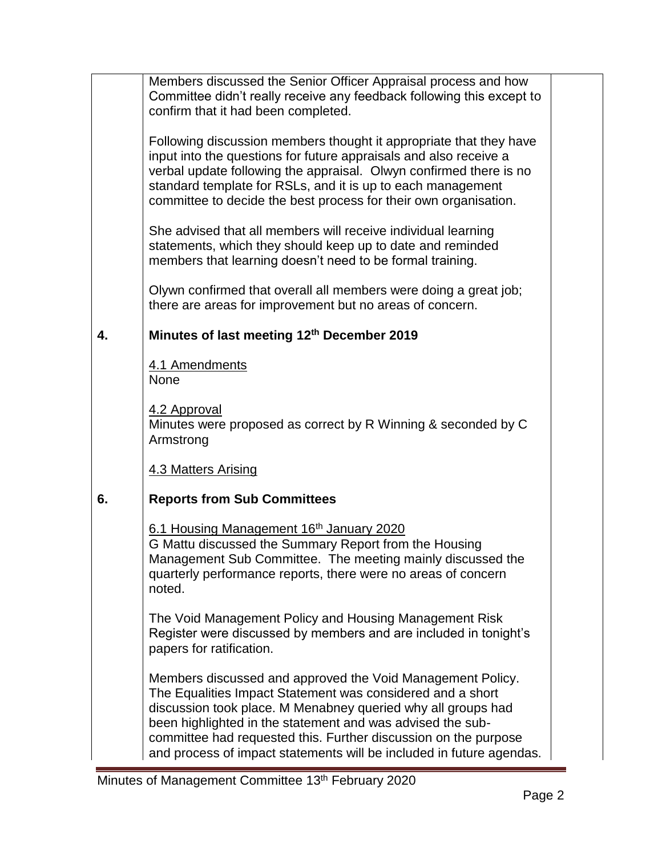|    | Members discussed the Senior Officer Appraisal process and how<br>Committee didn't really receive any feedback following this except to<br>confirm that it had been completed.                                                                                                                                                                                                                    |  |
|----|---------------------------------------------------------------------------------------------------------------------------------------------------------------------------------------------------------------------------------------------------------------------------------------------------------------------------------------------------------------------------------------------------|--|
|    | Following discussion members thought it appropriate that they have<br>input into the questions for future appraisals and also receive a<br>verbal update following the appraisal. Olwyn confirmed there is no<br>standard template for RSLs, and it is up to each management<br>committee to decide the best process for their own organisation.                                                  |  |
|    | She advised that all members will receive individual learning<br>statements, which they should keep up to date and reminded<br>members that learning doesn't need to be formal training.                                                                                                                                                                                                          |  |
|    | Olywn confirmed that overall all members were doing a great job;<br>there are areas for improvement but no areas of concern.                                                                                                                                                                                                                                                                      |  |
| 4. | Minutes of last meeting 12th December 2019                                                                                                                                                                                                                                                                                                                                                        |  |
|    | 4.1 Amendments<br><b>None</b>                                                                                                                                                                                                                                                                                                                                                                     |  |
|    | 4.2 Approval<br>Minutes were proposed as correct by R Winning & seconded by C<br>Armstrong                                                                                                                                                                                                                                                                                                        |  |
|    | 4.3 Matters Arising                                                                                                                                                                                                                                                                                                                                                                               |  |
| 6. | <b>Reports from Sub Committees</b>                                                                                                                                                                                                                                                                                                                                                                |  |
|    | 6.1 Housing Management 16th January 2020<br>G Mattu discussed the Summary Report from the Housing<br>Management Sub Committee. The meeting mainly discussed the<br>quarterly performance reports, there were no areas of concern<br>noted.                                                                                                                                                        |  |
|    | The Void Management Policy and Housing Management Risk<br>Register were discussed by members and are included in tonight's<br>papers for ratification.                                                                                                                                                                                                                                            |  |
|    | Members discussed and approved the Void Management Policy.<br>The Equalities Impact Statement was considered and a short<br>discussion took place. M Menabney queried why all groups had<br>been highlighted in the statement and was advised the sub-<br>committee had requested this. Further discussion on the purpose<br>and process of impact statements will be included in future agendas. |  |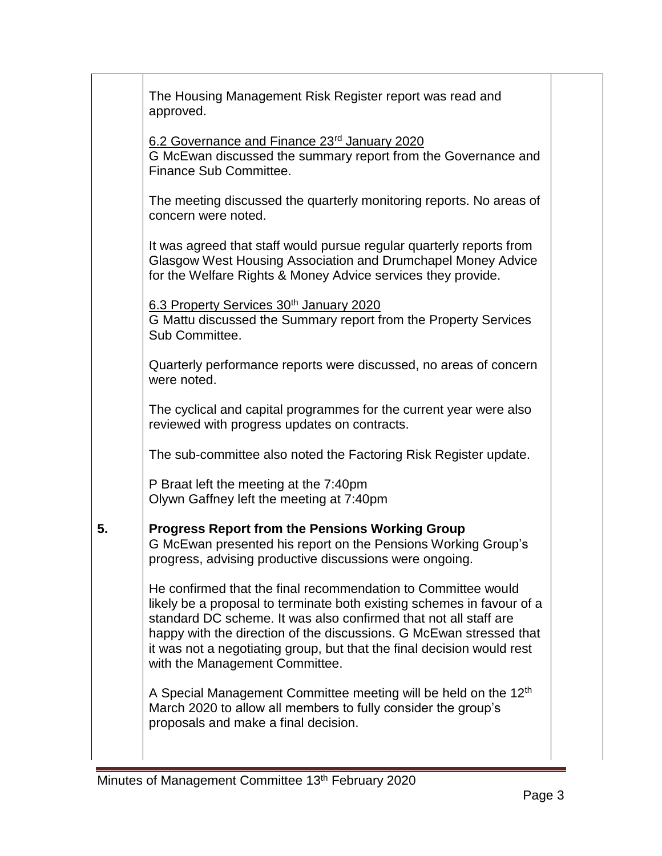|    | The Housing Management Risk Register report was read and<br>approved.                                                                                                                                                                                                                                                                                                                          |  |
|----|------------------------------------------------------------------------------------------------------------------------------------------------------------------------------------------------------------------------------------------------------------------------------------------------------------------------------------------------------------------------------------------------|--|
|    | 6.2 Governance and Finance 23rd January 2020<br>G McEwan discussed the summary report from the Governance and<br>Finance Sub Committee.                                                                                                                                                                                                                                                        |  |
|    | The meeting discussed the quarterly monitoring reports. No areas of<br>concern were noted.                                                                                                                                                                                                                                                                                                     |  |
|    | It was agreed that staff would pursue regular quarterly reports from<br>Glasgow West Housing Association and Drumchapel Money Advice<br>for the Welfare Rights & Money Advice services they provide.                                                                                                                                                                                           |  |
|    | 6.3 Property Services 30th January 2020<br>G Mattu discussed the Summary report from the Property Services<br>Sub Committee.                                                                                                                                                                                                                                                                   |  |
|    | Quarterly performance reports were discussed, no areas of concern<br>were noted.                                                                                                                                                                                                                                                                                                               |  |
|    | The cyclical and capital programmes for the current year were also<br>reviewed with progress updates on contracts.                                                                                                                                                                                                                                                                             |  |
|    | The sub-committee also noted the Factoring Risk Register update.                                                                                                                                                                                                                                                                                                                               |  |
|    | P Braat left the meeting at the 7:40pm<br>Olywn Gaffney left the meeting at 7:40pm                                                                                                                                                                                                                                                                                                             |  |
| 5. | <b>Progress Report from the Pensions Working Group</b><br>G McEwan presented his report on the Pensions Working Group's<br>progress, advising productive discussions were ongoing.                                                                                                                                                                                                             |  |
|    | He confirmed that the final recommendation to Committee would<br>likely be a proposal to terminate both existing schemes in favour of a<br>standard DC scheme. It was also confirmed that not all staff are<br>happy with the direction of the discussions. G McEwan stressed that<br>it was not a negotiating group, but that the final decision would rest<br>with the Management Committee. |  |
|    | A Special Management Committee meeting will be held on the 12 <sup>th</sup><br>March 2020 to allow all members to fully consider the group's<br>proposals and make a final decision.                                                                                                                                                                                                           |  |
|    |                                                                                                                                                                                                                                                                                                                                                                                                |  |

÷.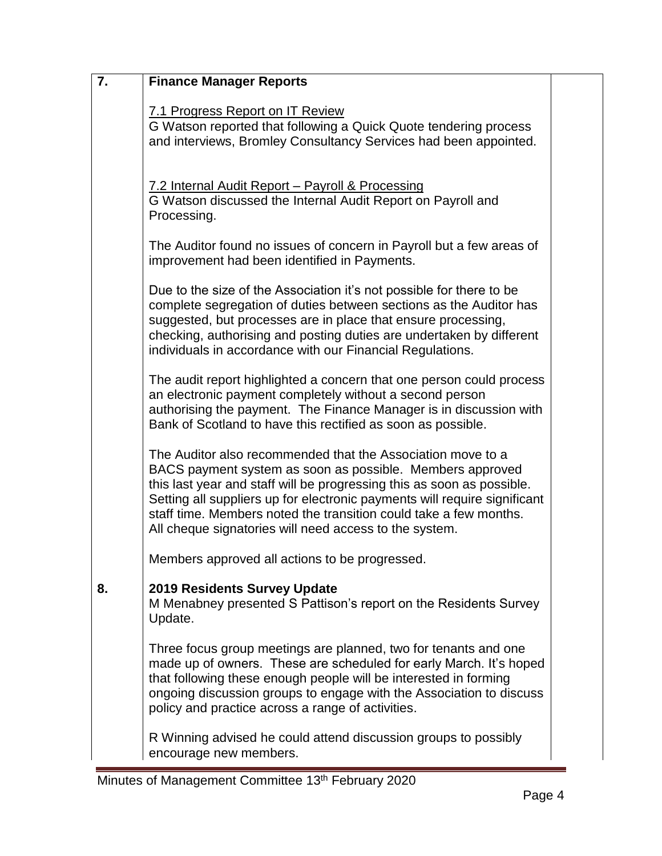| 7. | <b>Finance Manager Reports</b>                                                                                                                                                                                                                                                                                                                                                                                 |  |
|----|----------------------------------------------------------------------------------------------------------------------------------------------------------------------------------------------------------------------------------------------------------------------------------------------------------------------------------------------------------------------------------------------------------------|--|
|    | 7.1 Progress Report on IT Review<br>G Watson reported that following a Quick Quote tendering process<br>and interviews, Bromley Consultancy Services had been appointed.                                                                                                                                                                                                                                       |  |
|    | 7.2 Internal Audit Report - Payroll & Processing<br>G Watson discussed the Internal Audit Report on Payroll and<br>Processing.                                                                                                                                                                                                                                                                                 |  |
|    | The Auditor found no issues of concern in Payroll but a few areas of<br>improvement had been identified in Payments.                                                                                                                                                                                                                                                                                           |  |
|    | Due to the size of the Association it's not possible for there to be<br>complete segregation of duties between sections as the Auditor has<br>suggested, but processes are in place that ensure processing,<br>checking, authorising and posting duties are undertaken by different<br>individuals in accordance with our Financial Regulations.                                                               |  |
|    | The audit report highlighted a concern that one person could process<br>an electronic payment completely without a second person<br>authorising the payment. The Finance Manager is in discussion with<br>Bank of Scotland to have this rectified as soon as possible.                                                                                                                                         |  |
|    | The Auditor also recommended that the Association move to a<br>BACS payment system as soon as possible. Members approved<br>this last year and staff will be progressing this as soon as possible.<br>Setting all suppliers up for electronic payments will require significant<br>staff time. Members noted the transition could take a few months.<br>All cheque signatories will need access to the system. |  |
|    | Members approved all actions to be progressed.                                                                                                                                                                                                                                                                                                                                                                 |  |
| 8. | <b>2019 Residents Survey Update</b><br>M Menabney presented S Pattison's report on the Residents Survey<br>Update.                                                                                                                                                                                                                                                                                             |  |
|    | Three focus group meetings are planned, two for tenants and one<br>made up of owners. These are scheduled for early March. It's hoped<br>that following these enough people will be interested in forming<br>ongoing discussion groups to engage with the Association to discuss<br>policy and practice across a range of activities.                                                                          |  |
|    | R Winning advised he could attend discussion groups to possibly<br>encourage new members.                                                                                                                                                                                                                                                                                                                      |  |

÷.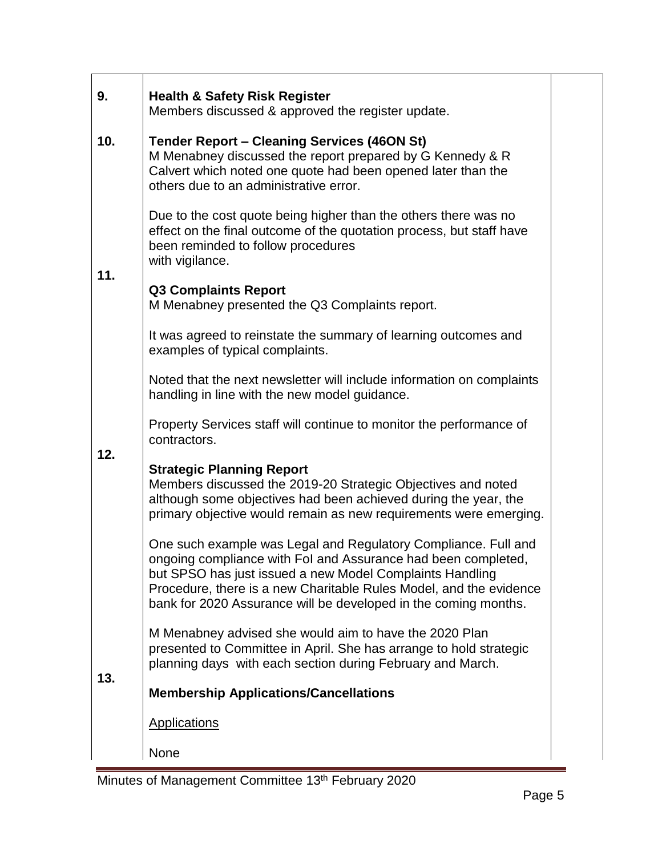| 9.  | <b>Health &amp; Safety Risk Register</b><br>Members discussed & approved the register update.                                                                                                                                                                                                                                        |  |
|-----|--------------------------------------------------------------------------------------------------------------------------------------------------------------------------------------------------------------------------------------------------------------------------------------------------------------------------------------|--|
| 10. | <b>Tender Report - Cleaning Services (46ON St)</b><br>M Menabney discussed the report prepared by G Kennedy & R<br>Calvert which noted one quote had been opened later than the<br>others due to an administrative error.                                                                                                            |  |
| 11. | Due to the cost quote being higher than the others there was no<br>effect on the final outcome of the quotation process, but staff have<br>been reminded to follow procedures<br>with vigilance.                                                                                                                                     |  |
|     | <b>Q3 Complaints Report</b><br>M Menabney presented the Q3 Complaints report.                                                                                                                                                                                                                                                        |  |
|     | It was agreed to reinstate the summary of learning outcomes and<br>examples of typical complaints.                                                                                                                                                                                                                                   |  |
|     | Noted that the next newsletter will include information on complaints<br>handling in line with the new model guidance.                                                                                                                                                                                                               |  |
| 12. | Property Services staff will continue to monitor the performance of<br>contractors.                                                                                                                                                                                                                                                  |  |
|     | <b>Strategic Planning Report</b><br>Members discussed the 2019-20 Strategic Objectives and noted<br>although some objectives had been achieved during the year, the<br>primary objective would remain as new requirements were emerging.                                                                                             |  |
|     | One such example was Legal and Regulatory Compliance. Full and<br>ongoing compliance with Fol and Assurance had been completed,<br>but SPSO has just issued a new Model Complaints Handling<br>Procedure, there is a new Charitable Rules Model, and the evidence<br>bank for 2020 Assurance will be developed in the coming months. |  |
|     | M Menabney advised she would aim to have the 2020 Plan<br>presented to Committee in April. She has arrange to hold strategic<br>planning days with each section during February and March.                                                                                                                                           |  |
| 13. | <b>Membership Applications/Cancellations</b>                                                                                                                                                                                                                                                                                         |  |
|     | <b>Applications</b>                                                                                                                                                                                                                                                                                                                  |  |
|     | None                                                                                                                                                                                                                                                                                                                                 |  |

 $\mathbf{r}$